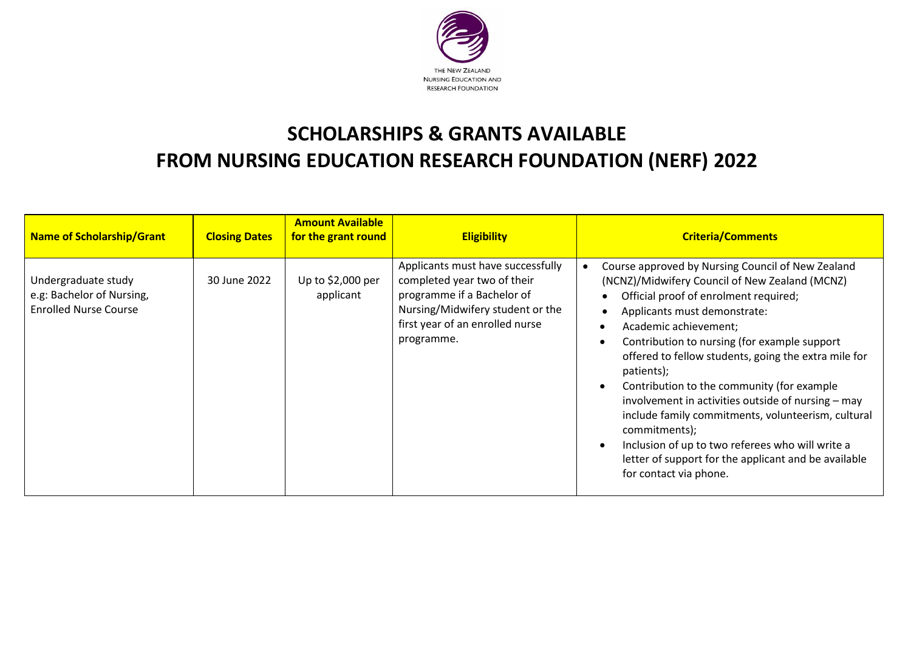

## **SCHOLARSHIPS & GRANTS AVAILABLE FROM NURSING EDUCATION RESEARCH FOUNDATION (NERF) 2022**

| <b>Name of Scholarship/Grant</b>                                                 | <b>Closing Dates</b> | <b>Amount Available</b><br>for the grant round | <b>Eligibility</b>                                                                                                                                                                  | <b>Criteria/Comments</b>                                                                                                                                                                                                                                                                                                                                                                                                                                                                                                                                                                                                                     |
|----------------------------------------------------------------------------------|----------------------|------------------------------------------------|-------------------------------------------------------------------------------------------------------------------------------------------------------------------------------------|----------------------------------------------------------------------------------------------------------------------------------------------------------------------------------------------------------------------------------------------------------------------------------------------------------------------------------------------------------------------------------------------------------------------------------------------------------------------------------------------------------------------------------------------------------------------------------------------------------------------------------------------|
| Undergraduate study<br>e.g: Bachelor of Nursing,<br><b>Enrolled Nurse Course</b> | 30 June 2022         | Up to \$2,000 per<br>applicant                 | Applicants must have successfully<br>completed year two of their<br>programme if a Bachelor of<br>Nursing/Midwifery student or the<br>first year of an enrolled nurse<br>programme. | Course approved by Nursing Council of New Zealand<br>(NCNZ)/Midwifery Council of New Zealand (MCNZ)<br>Official proof of enrolment required;<br>Applicants must demonstrate:<br>Academic achievement;<br>Contribution to nursing (for example support<br>offered to fellow students, going the extra mile for<br>patients);<br>Contribution to the community (for example<br>involvement in activities outside of nursing – may<br>include family commitments, volunteerism, cultural<br>commitments);<br>Inclusion of up to two referees who will write a<br>letter of support for the applicant and be available<br>for contact via phone. |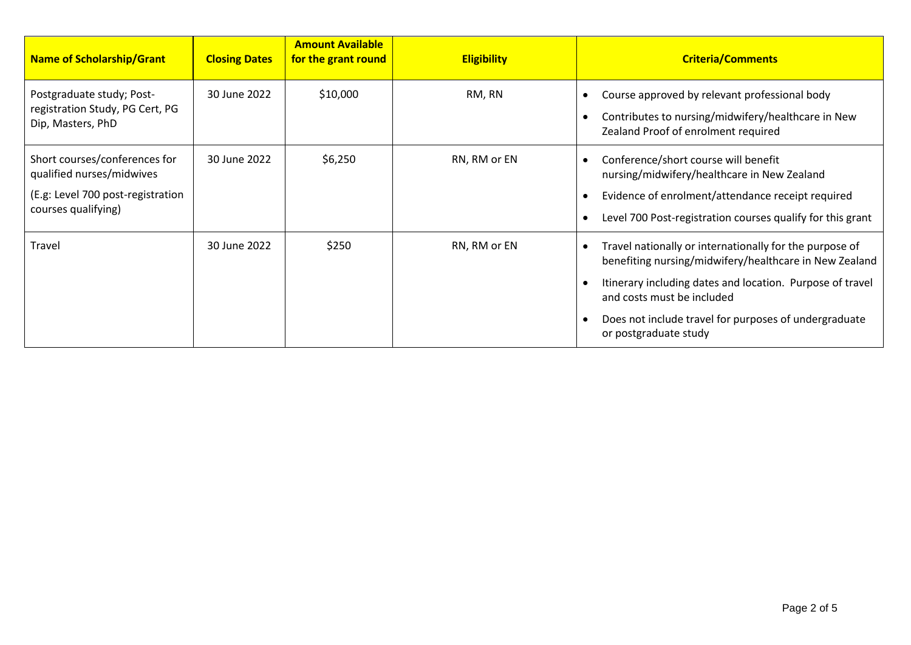| Name of Scholarship/Grant                                                                                              | <b>Closing Dates</b> | <b>Amount Available</b><br>for the grant round | <b>Eligibility</b> | <b>Criteria/Comments</b>                                                                                                                                                                                                                                                                       |
|------------------------------------------------------------------------------------------------------------------------|----------------------|------------------------------------------------|--------------------|------------------------------------------------------------------------------------------------------------------------------------------------------------------------------------------------------------------------------------------------------------------------------------------------|
| Postgraduate study; Post-<br>registration Study, PG Cert, PG<br>Dip, Masters, PhD                                      | 30 June 2022         | \$10,000                                       | RM, RN             | Course approved by relevant professional body<br>Contributes to nursing/midwifery/healthcare in New<br>Zealand Proof of enrolment required                                                                                                                                                     |
| Short courses/conferences for<br>qualified nurses/midwives<br>(E.g: Level 700 post-registration<br>courses qualifying) | 30 June 2022         | \$6,250                                        | RN, RM or EN       | Conference/short course will benefit<br>nursing/midwifery/healthcare in New Zealand<br>Evidence of enrolment/attendance receipt required<br>Level 700 Post-registration courses qualify for this grant                                                                                         |
| <b>Travel</b>                                                                                                          | 30 June 2022         | \$250                                          | RN, RM or EN       | Travel nationally or internationally for the purpose of<br>benefiting nursing/midwifery/healthcare in New Zealand<br>Itinerary including dates and location. Purpose of travel<br>and costs must be included<br>Does not include travel for purposes of undergraduate<br>or postgraduate study |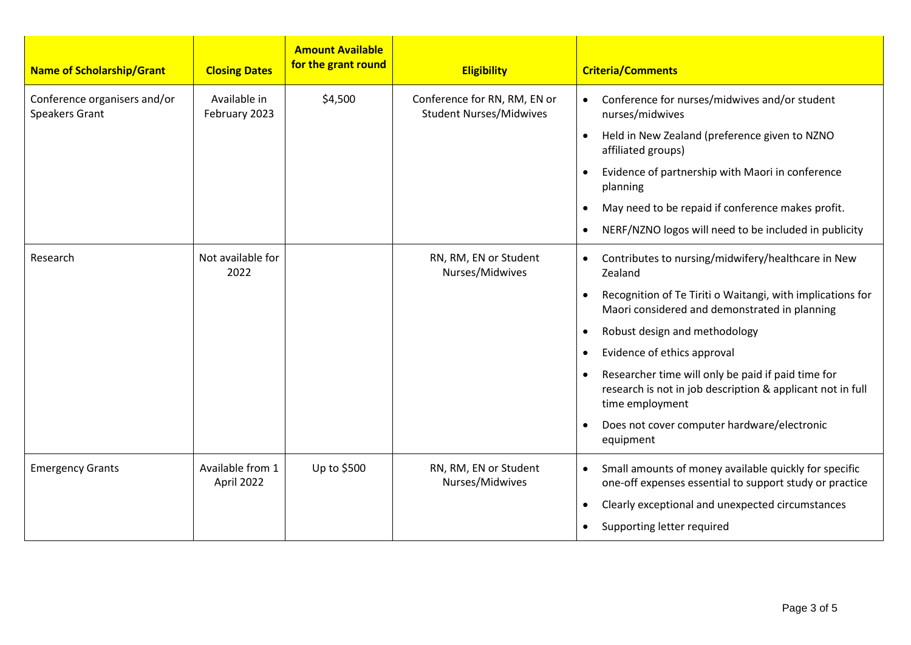| <b>Name of Scholarship/Grant</b>                      | <b>Closing Dates</b>           | <b>Amount Available</b><br>for the grant round | <b>Eligibility</b>                                             | <b>Criteria/Comments</b>                                                                                                            |
|-------------------------------------------------------|--------------------------------|------------------------------------------------|----------------------------------------------------------------|-------------------------------------------------------------------------------------------------------------------------------------|
| Conference organisers and/or<br><b>Speakers Grant</b> | Available in<br>February 2023  | \$4,500                                        | Conference for RN, RM, EN or<br><b>Student Nurses/Midwives</b> | Conference for nurses/midwives and/or student<br>$\bullet$<br>nurses/midwives                                                       |
|                                                       |                                |                                                |                                                                | Held in New Zealand (preference given to NZNO<br>$\bullet$<br>affiliated groups)                                                    |
|                                                       |                                |                                                |                                                                | Evidence of partnership with Maori in conference<br>$\bullet$<br>planning                                                           |
|                                                       |                                |                                                |                                                                | May need to be repaid if conference makes profit.<br>$\bullet$                                                                      |
|                                                       |                                |                                                |                                                                | NERF/NZNO logos will need to be included in publicity<br>$\bullet$                                                                  |
| Research                                              | Not available for<br>2022      |                                                | RN, RM, EN or Student<br>Nurses/Midwives                       | Contributes to nursing/midwifery/healthcare in New<br>$\bullet$<br>Zealand                                                          |
|                                                       |                                |                                                |                                                                | Recognition of Te Tiriti o Waitangi, with implications for<br>Maori considered and demonstrated in planning                         |
|                                                       |                                |                                                |                                                                | Robust design and methodology<br>$\bullet$                                                                                          |
|                                                       |                                |                                                |                                                                | Evidence of ethics approval<br>$\bullet$                                                                                            |
|                                                       |                                |                                                |                                                                | Researcher time will only be paid if paid time for<br>research is not in job description & applicant not in full<br>time employment |
|                                                       |                                |                                                |                                                                | Does not cover computer hardware/electronic<br>$\bullet$<br>equipment                                                               |
| <b>Emergency Grants</b>                               | Available from 1<br>April 2022 | Up to \$500                                    | RN, RM, EN or Student<br>Nurses/Midwives                       | Small amounts of money available quickly for specific<br>$\bullet$<br>one-off expenses essential to support study or practice       |
|                                                       |                                |                                                |                                                                | Clearly exceptional and unexpected circumstances<br>$\bullet$                                                                       |
|                                                       |                                |                                                |                                                                | Supporting letter required<br>$\bullet$                                                                                             |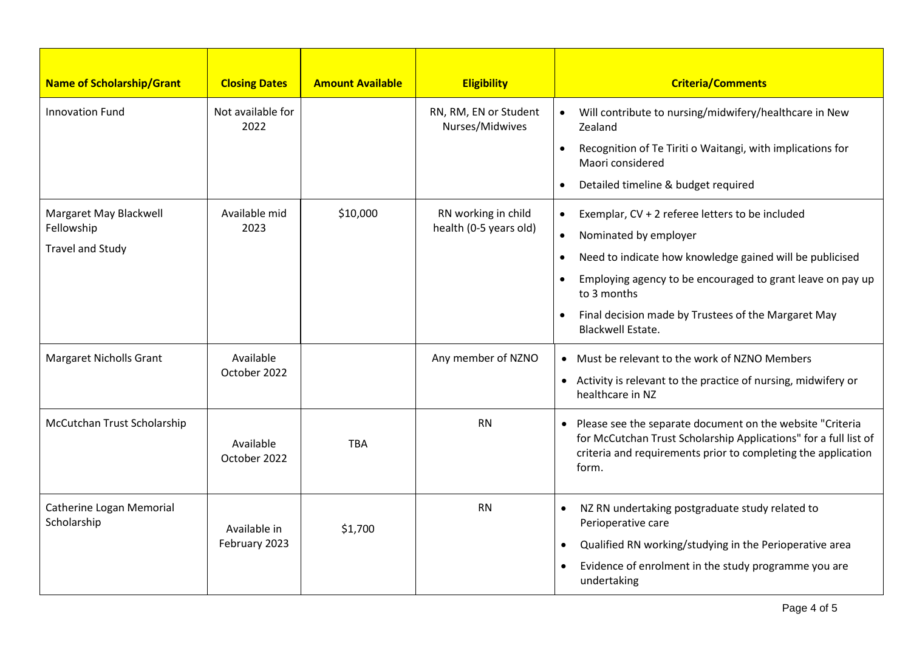| <b>Name of Scholarship/Grant</b>        | <b>Closing Dates</b>      | <b>Amount Available</b> | <b>Eligibility</b>                       | <b>Criteria/Comments</b>                                                                                                                                                                                  |
|-----------------------------------------|---------------------------|-------------------------|------------------------------------------|-----------------------------------------------------------------------------------------------------------------------------------------------------------------------------------------------------------|
| <b>Innovation Fund</b>                  | Not available for<br>2022 |                         | RN, RM, EN or Student<br>Nurses/Midwives | Will contribute to nursing/midwifery/healthcare in New<br>$\bullet$<br>Zealand                                                                                                                            |
|                                         |                           |                         |                                          | Recognition of Te Tiriti o Waitangi, with implications for<br>$\bullet$<br>Maori considered                                                                                                               |
|                                         |                           |                         |                                          | Detailed timeline & budget required<br>$\bullet$                                                                                                                                                          |
| Margaret May Blackwell                  | Available mid             | \$10,000                | RN working in child                      | Exemplar, CV + 2 referee letters to be included<br>$\bullet$                                                                                                                                              |
| Fellowship                              | 2023                      |                         | health (0-5 years old)                   | Nominated by employer<br>٠                                                                                                                                                                                |
| <b>Travel and Study</b>                 |                           |                         |                                          | Need to indicate how knowledge gained will be publicised<br>$\bullet$                                                                                                                                     |
|                                         |                           |                         |                                          | Employing agency to be encouraged to grant leave on pay up<br>$\bullet$<br>to 3 months                                                                                                                    |
|                                         |                           |                         |                                          | Final decision made by Trustees of the Margaret May<br>$\bullet$<br><b>Blackwell Estate.</b>                                                                                                              |
| <b>Margaret Nicholls Grant</b>          | Available<br>October 2022 |                         | Any member of NZNO                       | • Must be relevant to the work of NZNO Members                                                                                                                                                            |
|                                         |                           |                         |                                          | • Activity is relevant to the practice of nursing, midwifery or<br>healthcare in NZ                                                                                                                       |
| McCutchan Trust Scholarship             | Available<br>October 2022 | <b>TBA</b>              | <b>RN</b>                                | • Please see the separate document on the website "Criteria<br>for McCutchan Trust Scholarship Applications" for a full list of<br>criteria and requirements prior to completing the application<br>form. |
| Catherine Logan Memorial<br>Scholarship | Available in              | \$1,700                 | <b>RN</b>                                | NZ RN undertaking postgraduate study related to<br>$\bullet$<br>Perioperative care                                                                                                                        |
|                                         | February 2023             |                         |                                          | Qualified RN working/studying in the Perioperative area<br>$\bullet$                                                                                                                                      |
|                                         |                           |                         |                                          | Evidence of enrolment in the study programme you are<br>$\bullet$<br>undertaking                                                                                                                          |